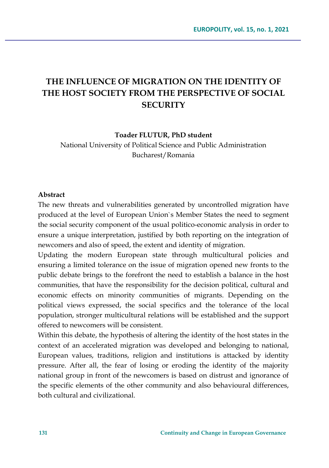# **THE INFLUENCE OF MIGRATION ON THE IDENTITY OF THE HOST SOCIETY FROM THE PERSPECTIVE OF SOCIAL SECURITY**

#### **Toader FLUTUR, PhD student**

National University of Political Science and Public Administration Bucharest/Romania

#### **Abstract**

The new threats and vulnerabilities generated by uncontrolled migration have produced at the level of European Union`s Member States the need to segment the social security component of the usual politico-economic analysis in order to ensure a unique interpretation, justified by both reporting on the integration of newcomers and also of speed, the extent and identity of migration.

Updating the modern European state through multicultural policies and ensuring a limited tolerance on the issue of migration opened new fronts to the public debate brings to the forefront the need to establish a balance in the host communities, that have the responsibility for the decision political, cultural and economic effects on minority communities of migrants. Depending on the political views expressed, the social specifics and the tolerance of the local population, stronger multicultural relations will be established and the support offered to newcomers will be consistent.

Within this debate, the hypothesis of altering the identity of the host states in the context of an accelerated migration was developed and belonging to national, European values, traditions, religion and institutions is attacked by identity pressure. After all, the fear of losing or eroding the identity of the majority national group in front of the newcomers is based on distrust and ignorance of the specific elements of the other community and also behavioural differences, both cultural and civilizational.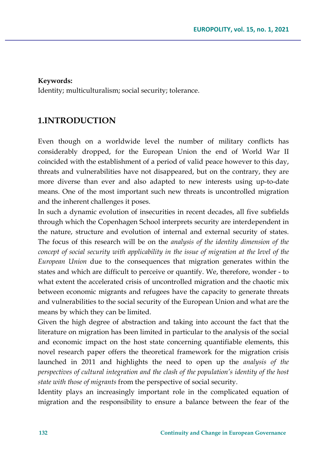#### **Keywords:**

Identity; multiculturalism; social security; tolerance.

## **1.INTRODUCTION**

Even though on a worldwide level the number of military conflicts has considerably dropped, for the European Union the end of World War II coincided with the establishment of a period of valid peace however to this day, threats and vulnerabilities have not disappeared, but on the contrary, they are more diverse than ever and also adapted to new interests using up-to-date means. One of the most important such new threats is uncontrolled migration and the inherent challenges it poses.

In such a dynamic evolution of insecurities in recent decades, all five subfields through which the Copenhagen School interprets security are interdependent in the nature, structure and evolution of internal and external security of states. The focus of this research will be on the *analysis of the identity dimension of the concept of social security with applicability in the issue of migration at the level of the European Union* due to the consequences that migration generates within the states and which are difficult to perceive or quantify. We, therefore, wonder - to what extent the accelerated crisis of uncontrolled migration and the chaotic mix between economic migrants and refugees have the capacity to generate threats and vulnerabilities to the social security of the European Union and what are the means by which they can be limited.

Given the high degree of abstraction and taking into account the fact that the literature on migration has been limited in particular to the analysis of the social and economic impact on the host state concerning quantifiable elements, this novel research paper offers the theoretical framework for the migration crisis launched in 2011 and highlights the need to open up the *analysis of the perspectives of cultural integration and the clash of the population's identity of the host state with those of migrants* from the perspective of social security.

Identity plays an increasingly important role in the complicated equation of migration and the responsibility to ensure a balance between the fear of the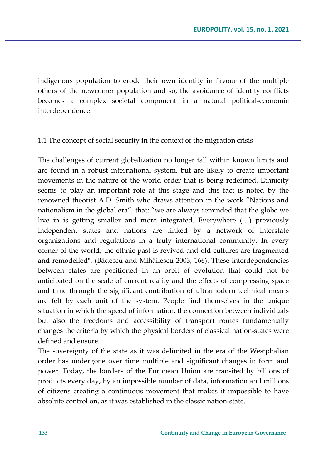indigenous population to erode their own identity in favour of the multiple others of the newcomer population and so, the avoidance of identity conflicts becomes a complex societal component in a natural political-economic interdependence.

#### 1.1 The concept of social security in the context of the migration crisis

The challenges of current globalization no longer fall within known limits and are found in a robust international system, but are likely to create important movements in the nature of the world order that is being redefined. Ethnicity seems to play an important role at this stage and this fact is noted by the renowned theorist A.D. Smith who draws attention in the work "Nations and nationalism in the global era", that: "we are always reminded that the globe we live in is getting smaller and more integrated. Everywhere (…) previously independent states and nations are linked by a network of interstate organizations and regulations in a truly international community. In every corner of the world, the ethnic past is revived and old cultures are fragmented and remodelled". (Bădescu and Mihăilescu 2003, 166). These interdependencies between states are positioned in an orbit of evolution that could not be anticipated on the scale of current reality and the effects of compressing space and time through the significant contribution of ultramodern technical means are felt by each unit of the system. People find themselves in the unique situation in which the speed of information, the connection between individuals but also the freedoms and accessibility of transport routes fundamentally changes the criteria by which the physical borders of classical nation-states were defined and ensure.

The sovereignty of the state as it was delimited in the era of the Westphalian order has undergone over time multiple and significant changes in form and power. Today, the borders of the European Union are transited by billions of products every day, by an impossible number of data, information and millions of citizens creating a continuous movement that makes it impossible to have absolute control on, as it was established in the classic nation-state.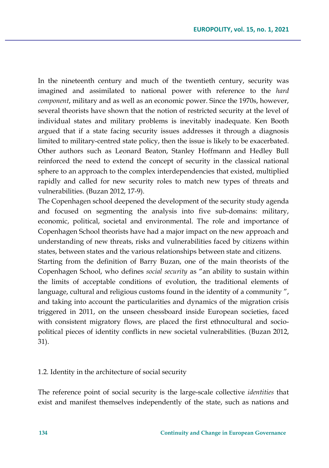In the nineteenth century and much of the twentieth century, security was imagined and assimilated to national power with reference to the *hard component*, military and as well as an economic power. Since the 1970s, however, several theorists have shown that the notion of restricted security at the level of individual states and military problems is inevitably inadequate. Ken Booth argued that if a state facing security issues addresses it through a diagnosis limited to military-centred state policy, then the issue is likely to be exacerbated. Other authors such as Leonard Beaton, Stanley Hoffmann and Hedley Bull reinforced the need to extend the concept of security in the classical national sphere to an approach to the complex interdependencies that existed, multiplied rapidly and called for new security roles to match new types of threats and vulnerabilities. (Buzan 2012, 17-9).

The Copenhagen school deepened the development of the security study agenda and focused on segmenting the analysis into five sub-domains: military, economic, political, societal and environmental. The role and importance of Copenhagen School theorists have had a major impact on the new approach and understanding of new threats, risks and vulnerabilities faced by citizens within states, between states and the various relationships between state and citizens.

Starting from the definition of Barry Buzan, one of the main theorists of the Copenhagen School, who defines *social security* as "an ability to sustain within the limits of acceptable conditions of evolution, the traditional elements of language, cultural and religious customs found in the identity of a community ", and taking into account the particularities and dynamics of the migration crisis triggered in 2011, on the unseen chessboard inside European societies, faced with consistent migratory flows, are placed the first ethnocultural and sociopolitical pieces of identity conflicts in new societal vulnerabilities. (Buzan 2012, 31).

#### 1.2. Identity in the architecture of social security

The reference point of social security is the large-scale collective *identities* that exist and manifest themselves independently of the state, such as nations and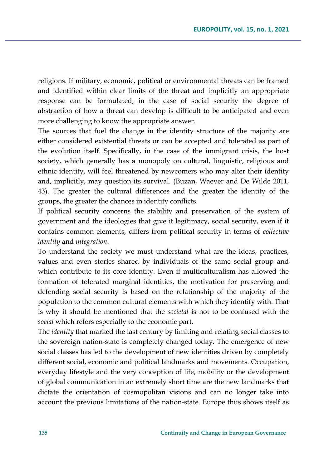religions. If military, economic, political or environmental threats can be framed and identified within clear limits of the threat and implicitly an appropriate response can be formulated, in the case of social security the degree of abstraction of how a threat can develop is difficult to be anticipated and even more challenging to know the appropriate answer.

The sources that fuel the change in the identity structure of the majority are either considered existential threats or can be accepted and tolerated as part of the evolution itself. Specifically, in the case of the immigrant crisis, the host society, which generally has a monopoly on cultural, linguistic, religious and ethnic identity, will feel threatened by newcomers who may alter their identity and, implicitly, may question its survival. (Buzan, Waever and De Wilde 2011, 43). The greater the cultural differences and the greater the identity of the groups, the greater the chances in identity conflicts.

If political security concerns the stability and preservation of the system of government and the ideologies that give it legitimacy, social security, even if it contains common elements, differs from political security in terms of *collective identity* and *integration*.

To understand the society we must understand what are the ideas, practices, values and even stories shared by individuals of the same social group and which contribute to its core identity. Even if multiculturalism has allowed the formation of tolerated marginal identities, the motivation for preserving and defending social security is based on the relationship of the majority of the population to the common cultural elements with which they identify with. That is why it should be mentioned that the *societal* is not to be confused with the *social* which refers especially to the economic part.

The *identity* that marked the last century by limiting and relating social classes to the sovereign nation-state is completely changed today. The emergence of new social classes has led to the development of new identities driven by completely different social, economic and political landmarks and movements. Occupation, everyday lifestyle and the very conception of life, mobility or the development of global communication in an extremely short time are the new landmarks that dictate the orientation of cosmopolitan visions and can no longer take into account the previous limitations of the nation-state. Europe thus shows itself as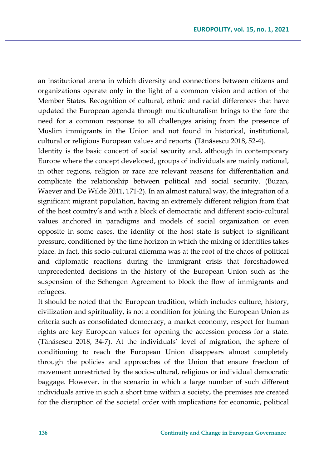an institutional arena in which diversity and connections between citizens and organizations operate only in the light of a common vision and action of the Member States. Recognition of cultural, ethnic and racial differences that have updated the European agenda through multiculturalism brings to the fore the need for a common response to all challenges arising from the presence of Muslim immigrants in the Union and not found in historical, institutional, cultural or religious European values and reports. (Tănăsescu 2018, 52-4).

Identity is the basic concept of social security and, although in contemporary Europe where the concept developed, groups of individuals are mainly national, in other regions, religion or race are relevant reasons for differentiation and complicate the relationship between political and social security. (Buzan, Waever and De Wilde 2011, 171-2). In an almost natural way, the integration of a significant migrant population, having an extremely different religion from that of the host country's and with a block of democratic and different socio-cultural values anchored in paradigms and models of social organization or even opposite in some cases, the identity of the host state is subject to significant pressure, conditioned by the time horizon in which the mixing of identities takes place. In fact, this socio-cultural dilemma was at the root of the chaos of political and diplomatic reactions during the immigrant crisis that foreshadowed unprecedented decisions in the history of the European Union such as the suspension of the Schengen Agreement to block the flow of immigrants and refugees.

It should be noted that the European tradition, which includes culture, history, civilization and spirituality, is not a condition for joining the European Union as criteria such as consolidated democracy, a market economy, respect for human rights are key European values for opening the accession process for a state. (Tănăsescu 2018, 34-7). At the individuals' level of migration, the sphere of conditioning to reach the European Union disappears almost completely through the policies and approaches of the Union that ensure freedom of movement unrestricted by the socio-cultural, religious or individual democratic baggage. However, in the scenario in which a large number of such different individuals arrive in such a short time within a society, the premises are created for the disruption of the societal order with implications for economic, political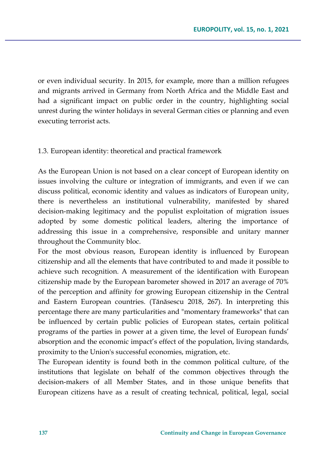or even individual security. In 2015, for example, more than a million refugees and migrants arrived in Germany from North Africa and the Middle East and had a significant impact on public order in the country, highlighting social unrest during the winter holidays in several German cities or planning and even executing terrorist acts.

### 1.3. European identity: theoretical and practical framework

As the European Union is not based on a clear concept of European identity on issues involving the culture or integration of immigrants, and even if we can discuss political, economic identity and values as indicators of European unity, there is nevertheless an institutional vulnerability, manifested by shared decision-making legitimacy and the populist exploitation of migration issues adopted by some domestic political leaders, altering the importance of addressing this issue in a comprehensive, responsible and unitary manner throughout the Community bloc.

For the most obvious reason, European identity is influenced by European citizenship and all the elements that have contributed to and made it possible to achieve such recognition. A measurement of the identification with European citizenship made by the European barometer showed in 2017 an average of 70% of the perception and affinity for growing European citizenship in the Central and Eastern European countries. (Tănăsescu 2018, 267). In interpreting this percentage there are many particularities and "momentary frameworks" that can be influenced by certain public policies of European states, certain political programs of the parties in power at a given time, the level of European funds' absorption and the economic impact's effect of the population, living standards, proximity to the Union's successful economies, migration, etc.

The European identity is found both in the common political culture, of the institutions that legislate on behalf of the common objectives through the decision-makers of all Member States, and in those unique benefits that European citizens have as a result of creating technical, political, legal, social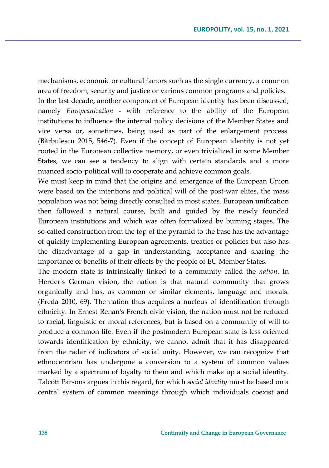mechanisms, economic or cultural factors such as the single currency, a common area of freedom, security and justice or various common programs and policies. In the last decade, another component of European identity has been discussed, namely *Europeanization* - with reference to the ability of the European institutions to influence the internal policy decisions of the Member States and vice versa or, sometimes, being used as part of the enlargement process. (Bărbulescu 2015, 546-7). Even if the concept of European identity is not yet rooted in the European collective memory, or even trivialized in some Member States, we can see a tendency to align with certain standards and a more nuanced socio-political will to cooperate and achieve common goals.

We must keep in mind that the origins and emergence of the European Union were based on the intentions and political will of the post-war elites, the mass population was not being directly consulted in most states. European unification then followed a natural course, built and guided by the newly founded European institutions and which was often formalized by burning stages. The so-called construction from the top of the pyramid to the base has the advantage of quickly implementing European agreements, treaties or policies but also has the disadvantage of a gap in understanding, acceptance and sharing the importance or benefits of their effects by the people of EU Member States.

The modern state is intrinsically linked to a community called the *nation*. In Herder's German vision, the nation is that natural community that grows organically and has, as common or similar elements, language and morals. (Preda 2010, 69). The nation thus acquires a nucleus of identification through ethnicity. In Ernest Renan's French civic vision, the nation must not be reduced to racial, linguistic or moral references, but is based on a community of will to produce a common life. Even if the postmodern European state is less oriented towards identification by ethnicity, we cannot admit that it has disappeared from the radar of indicators of social unity. However, we can recognize that ethnocentrism has undergone a conversion to a system of common values marked by a spectrum of loyalty to them and which make up a social identity. Talcott Parsons argues in this regard, for which *social identity* must be based on a central system of common meanings through which individuals coexist and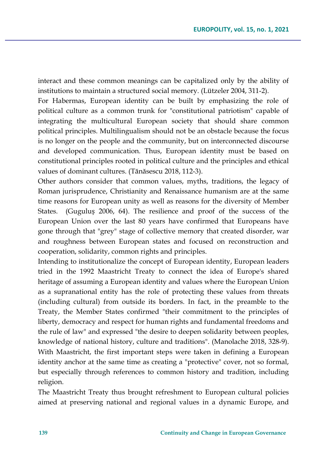interact and these common meanings can be capitalized only by the ability of institutions to maintain a structured social memory. (Lützeler 2004, 311-2).

For Habermas, European identity can be built by emphasizing the role of political culture as a common trunk for "constitutional patriotism" capable of integrating the multicultural European society that should share common political principles. Multilingualism should not be an obstacle because the focus is no longer on the people and the community, but on interconnected discourse and developed communication. Thus, European identity must be based on constitutional principles rooted in political culture and the principles and ethical values of dominant cultures. (Tănăsescu 2018, 112-3).

Other authors consider that common values, myths, traditions, the legacy of Roman jurisprudence, Christianity and Renaissance humanism are at the same time reasons for European unity as well as reasons for the diversity of Member States. (Guguluș 2006, 64). The resilience and proof of the success of the European Union over the last 80 years have confirmed that Europeans have gone through that "grey" stage of collective memory that created disorder, war and roughness between European states and focused on reconstruction and cooperation, solidarity, common rights and principles.

Intending to institutionalize the concept of European identity, European leaders tried in the 1992 Maastricht Treaty to connect the idea of Europe's shared heritage of assuming a European identity and values where the European Union as a supranational entity has the role of protecting these values from threats (including cultural) from outside its borders. In fact, in the preamble to the Treaty, the Member States confirmed "their commitment to the principles of liberty, democracy and respect for human rights and fundamental freedoms and the rule of law" and expressed "the desire to deepen solidarity between peoples, knowledge of national history, culture and traditions". (Manolache 2018, 328-9). With Maastricht, the first important steps were taken in defining a European identity anchor at the same time as creating a "protective" cover, not so formal, but especially through references to common history and tradition, including religion.

The Maastricht Treaty thus brought refreshment to European cultural policies aimed at preserving national and regional values in a dynamic Europe, and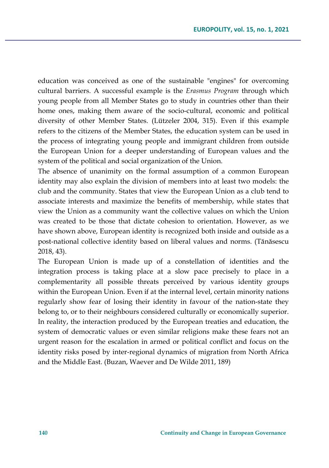education was conceived as one of the sustainable "engines" for overcoming cultural barriers. A successful example is the *Erasmus Program* through which young people from all Member States go to study in countries other than their home ones, making them aware of the socio-cultural, economic and political diversity of other Member States. (Lützeler 2004, 315). Even if this example refers to the citizens of the Member States, the education system can be used in the process of integrating young people and immigrant children from outside the European Union for a deeper understanding of European values and the system of the political and social organization of the Union.

The absence of unanimity on the formal assumption of a common European identity may also explain the division of members into at least two models: the club and the community. States that view the European Union as a club tend to associate interests and maximize the benefits of membership, while states that view the Union as a community want the collective values on which the Union was created to be those that dictate cohesion to orientation. However, as we have shown above, European identity is recognized both inside and outside as a post-national collective identity based on liberal values and norms. (Tănăsescu 2018, 43).

The European Union is made up of a constellation of identities and the integration process is taking place at a slow pace precisely to place in a complementarity all possible threats perceived by various identity groups within the European Union. Even if at the internal level, certain minority nations regularly show fear of losing their identity in favour of the nation-state they belong to, or to their neighbours considered culturally or economically superior. In reality, the interaction produced by the European treaties and education, the system of democratic values or even similar religions make these fears not an urgent reason for the escalation in armed or political conflict and focus on the identity risks posed by inter-regional dynamics of migration from North Africa and the Middle East. (Buzan, Waever and De Wilde 2011, 189)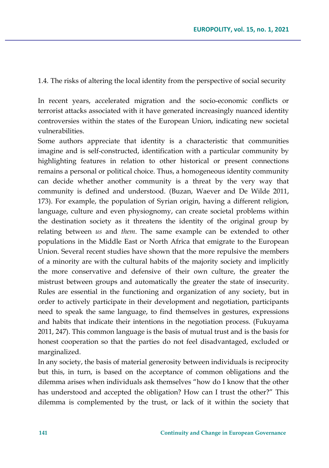1.4. The risks of altering the local identity from the perspective of social security

In recent years, accelerated migration and the socio-economic conflicts or terrorist attacks associated with it have generated increasingly nuanced identity controversies within the states of the European Union, indicating new societal vulnerabilities.

Some authors appreciate that identity is a characteristic that communities imagine and is self-constructed, identification with a particular community by highlighting features in relation to other historical or present connections remains a personal or political choice. Thus, a homogeneous identity community can decide whether another community is a threat by the very way that community is defined and understood. (Buzan, Waever and De Wilde 2011, 173). For example, the population of Syrian origin, having a different religion, language, culture and even physiognomy, can create societal problems within the destination society as it threatens the identity of the original group by relating between *us* and *them*. The same example can be extended to other populations in the Middle East or North Africa that emigrate to the European Union. Several recent studies have shown that the more repulsive the members of a minority are with the cultural habits of the majority society and implicitly the more conservative and defensive of their own culture, the greater the mistrust between groups and automatically the greater the state of insecurity. Rules are essential in the functioning and organization of any society, but in order to actively participate in their development and negotiation, participants need to speak the same language, to find themselves in gestures, expressions and habits that indicate their intentions in the negotiation process. (Fukuyama 2011, 247). This common language is the basis of mutual trust and is the basis for honest cooperation so that the parties do not feel disadvantaged, excluded or marginalized.

In any society, the basis of material generosity between individuals is reciprocity but this, in turn, is based on the acceptance of common obligations and the dilemma arises when individuals ask themselves "how do I know that the other has understood and accepted the obligation? How can I trust the other?" This dilemma is complemented by the trust, or lack of it within the society that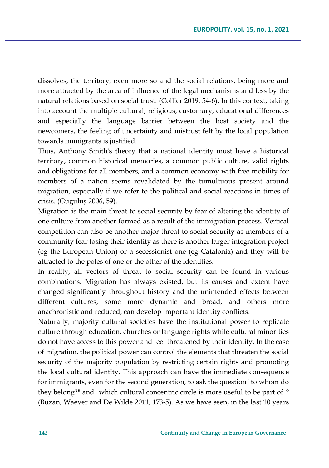dissolves, the territory, even more so and the social relations, being more and more attracted by the area of influence of the legal mechanisms and less by the natural relations based on social trust. (Collier 2019, 54-6). In this context, taking into account the multiple cultural, religious, customary, educational differences and especially the language barrier between the host society and the newcomers, the feeling of uncertainty and mistrust felt by the local population towards immigrants is justified.

Thus, Anthony Smith's theory that a national identity must have a historical territory, common historical memories, a common public culture, valid rights and obligations for all members, and a common economy with free mobility for members of a nation seems revalidated by the tumultuous present around migration, especially if we refer to the political and social reactions in times of crisis. (Guguluș 2006, 59).

Migration is the main threat to social security by fear of altering the identity of one culture from another formed as a result of the immigration process. Vertical competition can also be another major threat to social security as members of a community fear losing their identity as there is another larger integration project (eg the European Union) or a secessionist one (eg Catalonia) and they will be attracted to the poles of one or the other of the identities.

In reality, all vectors of threat to social security can be found in various combinations. Migration has always existed, but its causes and extent have changed significantly throughout history and the unintended effects between different cultures, some more dynamic and broad, and others more anachronistic and reduced, can develop important identity conflicts.

Naturally, majority cultural societies have the institutional power to replicate culture through education, churches or language rights while cultural minorities do not have access to this power and feel threatened by their identity. In the case of migration, the political power can control the elements that threaten the social security of the majority population by restricting certain rights and promoting the local cultural identity. This approach can have the immediate consequence for immigrants, even for the second generation, to ask the question "to whom do they belong?" and "which cultural concentric circle is more useful to be part of"? (Buzan, Waever and De Wilde 2011, 173-5). As we have seen, in the last 10 years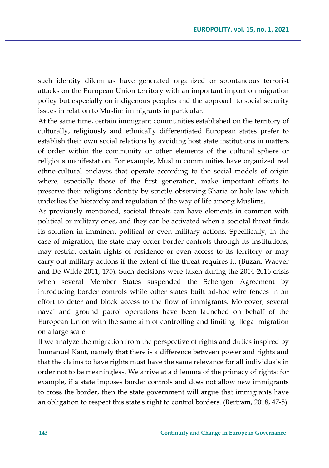such identity dilemmas have generated organized or spontaneous terrorist attacks on the European Union territory with an important impact on migration policy but especially on indigenous peoples and the approach to social security issues in relation to Muslim immigrants in particular.

At the same time, certain immigrant communities established on the territory of culturally, religiously and ethnically differentiated European states prefer to establish their own social relations by avoiding host state institutions in matters of order within the community or other elements of the cultural sphere or religious manifestation. For example, Muslim communities have organized real ethno-cultural enclaves that operate according to the social models of origin where, especially those of the first generation, make important efforts to preserve their religious identity by strictly observing Sharia or holy law which underlies the hierarchy and regulation of the way of life among Muslims.

As previously mentioned, societal threats can have elements in common with political or military ones, and they can be activated when a societal threat finds its solution in imminent political or even military actions. Specifically, in the case of migration, the state may order border controls through its institutions, may restrict certain rights of residence or even access to its territory or may carry out military actions if the extent of the threat requires it. (Buzan, Waever and De Wilde 2011, 175). Such decisions were taken during the 2014-2016 crisis when several Member States suspended the Schengen Agreement by introducing border controls while other states built ad-hoc wire fences in an effort to deter and block access to the flow of immigrants. Moreover, several naval and ground patrol operations have been launched on behalf of the European Union with the same aim of controlling and limiting illegal migration on a large scale.

If we analyze the migration from the perspective of rights and duties inspired by Immanuel Kant, namely that there is a difference between power and rights and that the claims to have rights must have the same relevance for all individuals in order not to be meaningless. We arrive at a dilemma of the primacy of rights: for example, if a state imposes border controls and does not allow new immigrants to cross the border, then the state government will argue that immigrants have an obligation to respect this state's right to control borders. (Bertram, 2018, 47-8).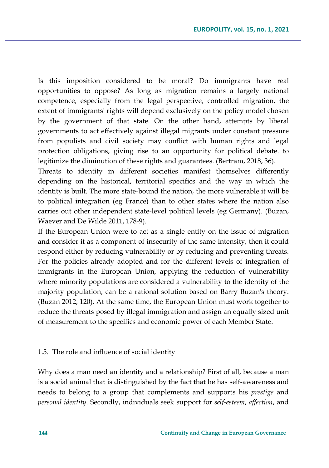Is this imposition considered to be moral? Do immigrants have real opportunities to oppose? As long as migration remains a largely national competence, especially from the legal perspective, controlled migration, the extent of immigrants' rights will depend exclusively on the policy model chosen by the government of that state. On the other hand, attempts by liberal governments to act effectively against illegal migrants under constant pressure from populists and civil society may conflict with human rights and legal protection obligations, giving rise to an opportunity for political debate. to legitimize the diminution of these rights and guarantees. (Bertram, 2018, 36).

Threats to identity in different societies manifest themselves differently depending on the historical, territorial specifics and the way in which the identity is built. The more state-bound the nation, the more vulnerable it will be to political integration (eg France) than to other states where the nation also carries out other independent state-level political levels (eg Germany). (Buzan, Waever and De Wilde 2011, 178-9).

If the European Union were to act as a single entity on the issue of migration and consider it as a component of insecurity of the same intensity, then it could respond either by reducing vulnerability or by reducing and preventing threats. For the policies already adopted and for the different levels of integration of immigrants in the European Union, applying the reduction of vulnerability where minority populations are considered a vulnerability to the identity of the majority population, can be a rational solution based on Barry Buzan's theory. (Buzan 2012, 120). At the same time, the European Union must work together to reduce the threats posed by illegal immigration and assign an equally sized unit of measurement to the specifics and economic power of each Member State.

#### 1.5. The role and influence of social identity

Why does a man need an identity and a relationship? First of all, because a man is a social animal that is distinguished by the fact that he has self-awareness and needs to belong to a group that complements and supports his *prestige* and *personal identity*. Secondly, individuals seek support for *self-esteem*, *affection*, and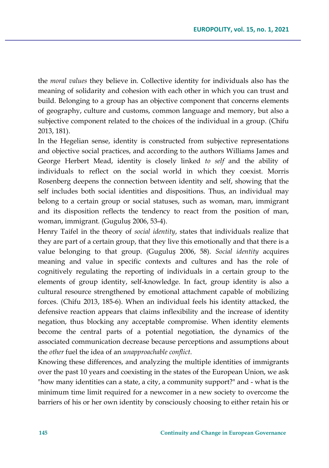the *moral values* they believe in. Collective identity for individuals also has the meaning of solidarity and cohesion with each other in which you can trust and build. Belonging to a group has an objective component that concerns elements of geography, culture and customs, common language and memory, but also a subjective component related to the choices of the individual in a group. (Chifu 2013, 181).

In the Hegelian sense, identity is constructed from subjective representations and objective social practices, and according to the authors Williams James and George Herbert Mead, identity is closely linked *to self* and the ability of individuals to reflect on the social world in which they coexist. Morris Rosenberg deepens the connection between identity and self, showing that the self includes both social identities and dispositions. Thus, an individual may belong to a certain group or social statuses, such as woman, man, immigrant and its disposition reflects the tendency to react from the position of man, woman, immigrant. (Guguluș 2006, 53-4).

Henry Taifel in the theory of *social identity*, states that individuals realize that they are part of a certain group, that they live this emotionally and that there is a value belonging to that group. (Guguluș 2006, 58). *Social identity* acquires meaning and value in specific contexts and cultures and has the role of cognitively regulating the reporting of individuals in a certain group to the elements of group identity, self-knowledge. In fact, group identity is also a cultural resource strengthened by emotional attachment capable of mobilizing forces. (Chifu 2013, 185-6). When an individual feels his identity attacked, the defensive reaction appears that claims inflexibility and the increase of identity negation, thus blocking any acceptable compromise. When identity elements become the central parts of a potential negotiation, the dynamics of the associated communication decrease because perceptions and assumptions about the *other* fuel the idea of an *unapproachable conflict*.

Knowing these differences, and analyzing the multiple identities of immigrants over the past 10 years and coexisting in the states of the European Union, we ask "how many identities can a state, a city, a community support?" and - what is the minimum time limit required for a newcomer in a new society to overcome the barriers of his or her own identity by consciously choosing to either retain his or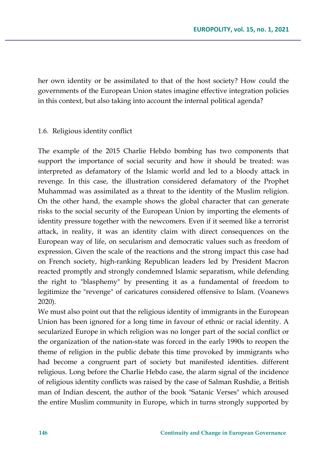her own identity or be assimilated to that of the host society? How could the governments of the European Union states imagine effective integration policies in this context, but also taking into account the internal political agenda?

#### 1.6. Religious identity conflict

The example of the 2015 Charlie Hebdo bombing has two components that support the importance of social security and how it should be treated: was interpreted as defamatory of the Islamic world and led to a bloody attack in revenge. In this case, the illustration considered defamatory of the Prophet Muhammad was assimilated as a threat to the identity of the Muslim religion. On the other hand, the example shows the global character that can generate risks to the social security of the European Union by importing the elements of identity pressure together with the newcomers. Even if it seemed like a terrorist attack, in reality, it was an identity claim with direct consequences on the European way of life, on secularism and democratic values such as freedom of expression. Given the scale of the reactions and the strong impact this case had on French society, high-ranking Republican leaders led by President Macron reacted promptly and strongly condemned Islamic separatism, while defending the right to "blasphemy" by presenting it as a fundamental of freedom to legitimize the "revenge" of caricatures considered offensive to Islam. (Voanews 2020).

We must also point out that the religious identity of immigrants in the European Union has been ignored for a long time in favour of ethnic or racial identity. A secularized Europe in which religion was no longer part of the social conflict or the organization of the nation-state was forced in the early 1990s to reopen the theme of religion in the public debate this time provoked by immigrants who had become a congruent part of society but manifested identities. different religious. Long before the Charlie Hebdo case, the alarm signal of the incidence of religious identity conflicts was raised by the case of Salman Rushdie, a British man of Indian descent, the author of the book "Satanic Verses" which aroused the entire Muslim community in Europe, which in turns strongly supported by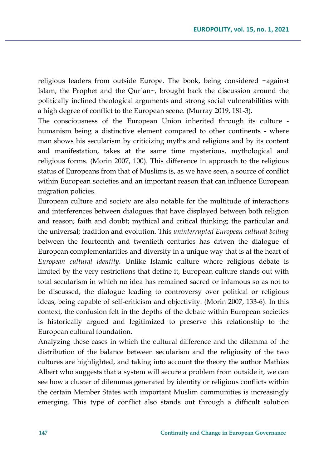religious leaders from outside Europe. The book, being considered ~against Islam, the Prophet and the Qur`an~, brought back the discussion around the politically inclined theological arguments and strong social vulnerabilities with a high degree of conflict to the European scene. (Murray 2019, 181-3).

The consciousness of the European Union inherited through its culture humanism being a distinctive element compared to other continents - where man shows his secularism by criticizing myths and religions and by its content and manifestation, takes at the same time mysterious, mythological and religious forms. (Morin 2007, 100). This difference in approach to the religious status of Europeans from that of Muslims is, as we have seen, a source of conflict within European societies and an important reason that can influence European migration policies.

European culture and society are also notable for the multitude of interactions and interferences between dialogues that have displayed between both religion and reason; faith and doubt; mythical and critical thinking; the particular and the universal; tradition and evolution. This *uninterrupted European cultural boiling* between the fourteenth and twentieth centuries has driven the dialogue of European complementarities and diversity in a unique way that is at the heart of *European cultural identity*. Unlike Islamic culture where religious debate is limited by the very restrictions that define it, European culture stands out with total secularism in which no idea has remained sacred or infamous so as not to be discussed, the dialogue leading to controversy over political or religious ideas, being capable of self-criticism and objectivity. (Morin 2007, 133-6). In this context, the confusion felt in the depths of the debate within European societies is historically argued and legitimized to preserve this relationship to the European cultural foundation.

Analyzing these cases in which the cultural difference and the dilemma of the distribution of the balance between secularism and the religiosity of the two cultures are highlighted, and taking into account the theory the author Mathias Albert who suggests that a system will secure a problem from outside it, we can see how a cluster of dilemmas generated by identity or religious conflicts within the certain Member States with important Muslim communities is increasingly emerging. This type of conflict also stands out through a difficult solution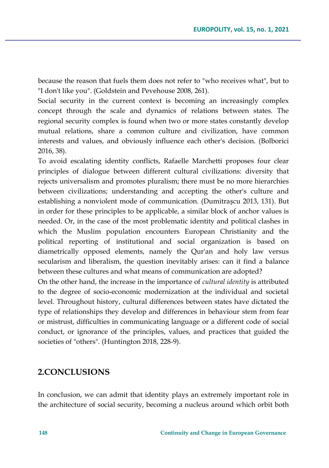because the reason that fuels them does not refer to "who receives what", but to "I don't like you". (Goldstein and Pevehouse 2008, 261).

Social security in the current context is becoming an increasingly complex concept through the scale and dynamics of relations between states. The regional security complex is found when two or more states constantly develop mutual relations, share a common culture and civilization, have common interests and values, and obviously influence each other's decision. (Bolborici 2016, 38).

To avoid escalating identity conflicts, Rafaelle Marchetti proposes four clear principles of dialogue between different cultural civilizations: diversity that rejects universalism and promotes pluralism; there must be no more hierarchies between civilizations; understanding and accepting the other's culture and establishing a nonviolent mode of communication. (Dumitrașcu 2013, 131). But in order for these principles to be applicable, a similar block of anchor values is needed. Or, in the case of the most problematic identity and political clashes in which the Muslim population encounters European Christianity and the political reporting of institutional and social organization is based on diametrically opposed elements, namely the Qur'an and holy law versus secularism and liberalism, the question inevitably arises: can it find a balance between these cultures and what means of communication are adopted?

On the other hand, the increase in the importance of *cultural identity* is attributed to the degree of socio-economic modernization at the individual and societal level. Throughout history, cultural differences between states have dictated the type of relationships they develop and differences in behaviour stem from fear or mistrust, difficulties in communicating language or a different code of social conduct, or ignorance of the principles, values, and practices that guided the societies of "others". (Huntington 2018, 228-9).

## **2.CONCLUSIONS**

In conclusion, we can admit that identity plays an extremely important role in the architecture of social security, becoming a nucleus around which orbit both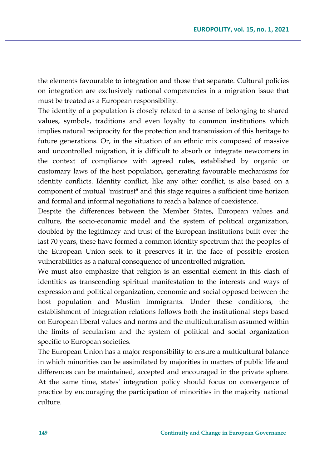the elements favourable to integration and those that separate. Cultural policies on integration are exclusively national competencies in a migration issue that must be treated as a European responsibility.

The identity of a population is closely related to a sense of belonging to shared values, symbols, traditions and even loyalty to common institutions which implies natural reciprocity for the protection and transmission of this heritage to future generations. Or, in the situation of an ethnic mix composed of massive and uncontrolled migration, it is difficult to absorb or integrate newcomers in the context of compliance with agreed rules, established by organic or customary laws of the host population, generating favourable mechanisms for identity conflicts. Identity conflict, like any other conflict, is also based on a component of mutual "mistrust" and this stage requires a sufficient time horizon and formal and informal negotiations to reach a balance of coexistence.

Despite the differences between the Member States, European values and culture, the socio-economic model and the system of political organization, doubled by the legitimacy and trust of the European institutions built over the last 70 years, these have formed a common identity spectrum that the peoples of the European Union seek to it preserves it in the face of possible erosion vulnerabilities as a natural consequence of uncontrolled migration.

We must also emphasize that religion is an essential element in this clash of identities as transcending spiritual manifestation to the interests and ways of expression and political organization, economic and social opposed between the host population and Muslim immigrants. Under these conditions, the establishment of integration relations follows both the institutional steps based on European liberal values and norms and the multiculturalism assumed within the limits of secularism and the system of political and social organization specific to European societies.

The European Union has a major responsibility to ensure a multicultural balance in which minorities can be assimilated by majorities in matters of public life and differences can be maintained, accepted and encouraged in the private sphere. At the same time, states' integration policy should focus on convergence of practice by encouraging the participation of minorities in the majority national culture.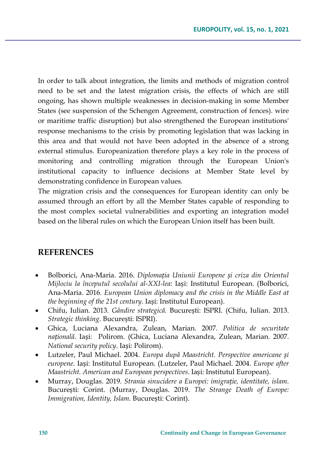In order to talk about integration, the limits and methods of migration control need to be set and the latest migration crisis, the effects of which are still ongoing, has shown multiple weaknesses in decision-making in some Member States (see suspension of the Schengen Agreement, construction of fences). wire or maritime traffic disruption) but also strengthened the European institutions' response mechanisms to the crisis by promoting legislation that was lacking in this area and that would not have been adopted in the absence of a strong external stimulus. Europeanization therefore plays a key role in the process of monitoring and controlling migration through the European Union's institutional capacity to influence decisions at Member State level by demonstrating confidence in European values.

The migration crisis and the consequences for European identity can only be assumed through an effort by all the Member States capable of responding to the most complex societal vulnerabilities and exporting an integration model based on the liberal rules on which the European Union itself has been built.

### **REFERENCES**

- Bolborici, Ana-Maria. 2016. *Diplomația Uniunii Europene și criza din Orientul Mijlociu la începutul secolului al-XXI-lea*: Iași: Institutul European. (Bolborici, Ana-Maria. 2016. *European Union diplomacy and the crisis in the Middle East at the beginning of the 21st century*. Iași: Institutul European).
- Chifu, Iulian. 2013. *Gândire strategică.* București: ISPRI. (Chifu, Iulian. 2013. *Strategic thinking*. București: ISPRI).
- Ghica, Luciana Alexandra, Zulean, Marian. 2007. *Politica de securitate națională*. Iași: Polirom. (Ghica, Luciana Alexandra, Zulean, Marian. 2007. *National security policy*. Iași: Polirom).
- Lutzeler, Paul Michael. 2004. *Europa după Maastricht. Perspective americane și europene*. Iași: Institutul European. (Lutzeler, Paul Michael. 2004. *Europe after Maastricht. American and European perspectives*. Iași: Institutul European).
- Murray, Douglas. 2019. *Strania sinucidere a Europei: imigrație, identitate, islam*. București: Corint. (Murray, Douglas. 2019. *The Strange Death of Europe: Immigration, Identity, Islam*. București: Corint).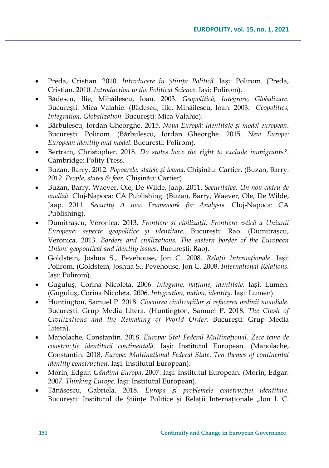- Preda, Cristian. 2010. *Introducere în Știința Politică*. Iași: Polirom. (Preda, Cristian. 2010. *Introduction to the Political Science*. Iași: Polirom).
- Bădescu, Ilie, Mihăilescu, Ioan. 2003. *Geopolitică, Integrare, Globalizare.* București: Mica Valahie. (Bădescu, Ilie, Mihăilescu, Ioan. 2003. *Geopolitics, Integration, Globalization.* București: Mica Valahie).
- Bărbulescu, Iordan Gheorghe. 2015. *Noua Europă: Identitate și model european*. București: Polirom. (Bărbulescu, Iordan Gheorghe. 2015. *New Europe: European identity and model.* București: Polirom).
- Bertram, Christopher. 2018. *Do states have the right to exclude immigrants?*. Cambridge: Polity Press.
- Buzan, Barry. 2012. *Popoarele, statele și teama*. Chișinău: Cartier. (Buzan, Barry. 2012. *People, states & fear*. Chișinău: Cartier).
- Buzan, Barry, Waever, Ole, De Wilde, Jaap. 2011. *Securitatea. Un nou cadru de analiză*. Cluj-Napoca: CA Publishing. (Buzan, Barry, Waever, Ole, De Wilde, Jaap. 2011. *Security A new Framework for Analysis*. Cluj-Napoca: CA Publishing).
- Dumitrașcu, Veronica. 2013. *Frontiere și civilizații. Frontiera estică a Uniunii Europene: aspecte geopolitice și identitare.* București: Rao. (Dumitrașcu, Veronica. 2013. *Borders and civilizations. The eastern border of the European Union: geopolitical and identity issues.* București: Rao).
- Goldstein, Joshua S., Pevehouse, Jon C. 2008. *Relații Internaționale*. Iași: Polirom. (Goldstein, Joshua S., Pevehouse, Jon C. 2008. *International Relations*. Iași: Polirom).
- Guguluș, Corina Nicoleta. 2006. *Integrare, națiune, identitate.* Iași: Lumen. (Guguluș, Corina Nicoleta. 2006. *Integration, nation, identity.* Iași: Lumen).
- Huntington, Samuel P. 2018. *Ciocnirea civilizațiilor și refacerea ordinii mondiale.* București: Grup Media Litera. (Huntington, Samuel P. 2018. *The Clash of Civilizations and the Remaking of World Order.* București: Grup Media Litera).
- Manolache, Constantin. 2018. *Europa: Stat Federal Multinațional. Zece teme de construcție identitară continentală*. Iași: Institutul European. (Manolache, Constantin. 2018. *Europe: Multinational Federal State. Ten themes of continental identity construction*. Iași: Institutul European).
- Morin, Edgar, *Gândind Europa*. 2007. Iași: Institutul European. (Morin, Edgar. 2007. *Thinking Europe*. Iași: Institutul European).
- Tănăsescu, Gabriela. 2018. *Europa și problemele construcției identitare*. București: Institutul de Științe Politice și Relații Internaționale "Ion I. C.